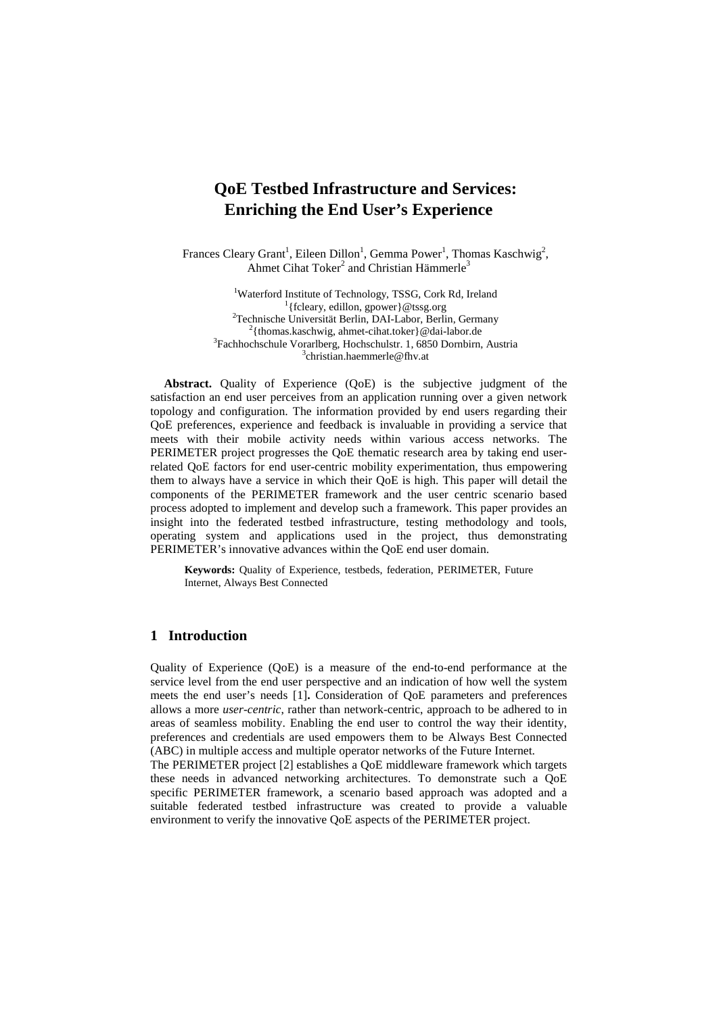# **QoE Testbed Infrastructure and Services: Enriching the End User's Experience**

Frances Cleary Grant<sup>1</sup>, Eileen Dillon<sup>1</sup>, Gemma Power<sup>1</sup>, Thomas Kaschwig<sup>2</sup>, Ahmet Cihat Toker<sup>2</sup> and Christian Hämmerle<sup>3</sup>

<sup>1</sup>Waterford Institute of Technology, TSSG, Cork Rd, Ireland {fcleary, edillon, gpower}@tssg.org Technische Universität Berlin, DAI-Labor, Berlin, Germany <sup>2</sup>{thomas.kaschwig, ahmet-cihat.toker}@dai-labor.de Fachhochschule Vorarlberg, Hochschulstr. 1, 6850 Dornbirn, Austria christian.haemmerle@fhv.at

**Abstract.** Quality of Experience (QoE) is the subjective judgment of the satisfaction an end user perceives from an application running over a given network topology and configuration. The information provided by end users regarding their QoE preferences, experience and feedback is invaluable in providing a service that meets with their mobile activity needs within various access networks. The PERIMETER project progresses the QoE thematic research area by taking end userrelated QoE factors for end user-centric mobility experimentation, thus empowering them to always have a service in which their QoE is high. This paper will detail the components of the PERIMETER framework and the user centric scenario based process adopted to implement and develop such a framework. This paper provides an insight into the federated testbed infrastructure, testing methodology and tools, operating system and applications used in the project, thus demonstrating PERIMETER's innovative advances within the QoE end user domain.

**Keywords:** Quality of Experience, testbeds, federation, PERIMETER, Future Internet, Always Best Connected

### **1 Introduction**

Quality of Experience (QoE) is a measure of the end-to-end performance at the service level from the end user perspective and an indication of how well the system meets the end user's needs [1]**.** Consideration of QoE parameters and preferences allows a more *user-centric*, rather than network-centric, approach to be adhered to in areas of seamless mobility. Enabling the end user to control the way their identity, preferences and credentials are used empowers them to be Always Best Connected (ABC) in multiple access and multiple operator networks of the Future Internet.

The PERIMETER project [2] establishes a QoE middleware framework which targets these needs in advanced networking architectures. To demonstrate such a QoE specific PERIMETER framework, a scenario based approach was adopted and a suitable federated testbed infrastructure was created to provide a valuable environment to verify the innovative QoE aspects of the PERIMETER project.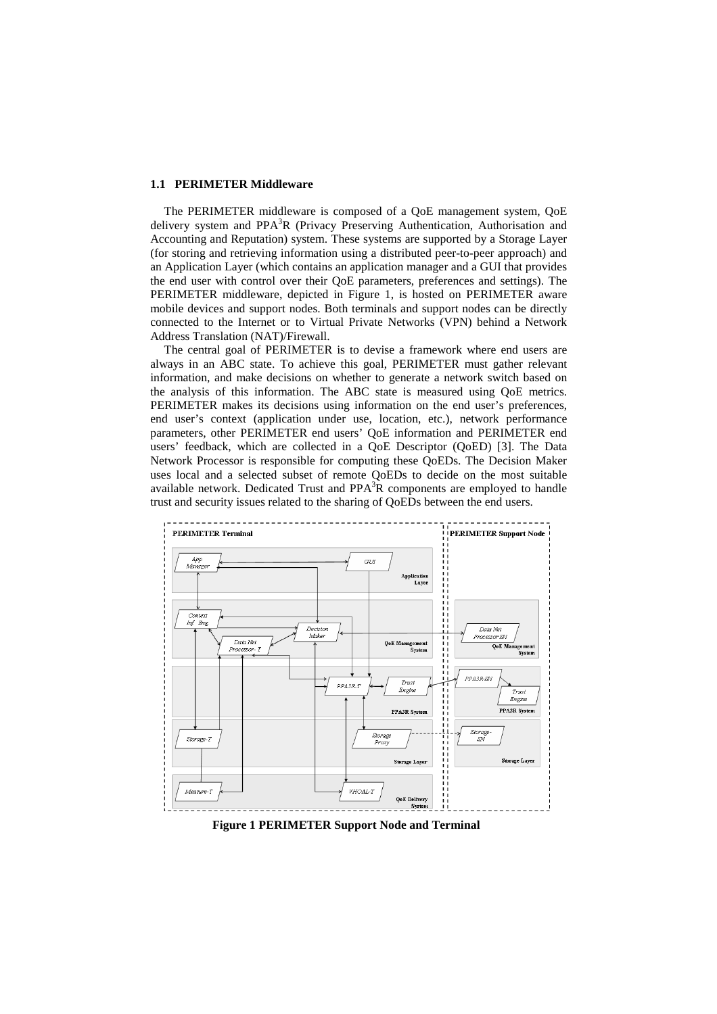#### **1.1 PERIMETER Middleware**

The PERIMETER middleware is composed of a QoE management system, QoE delivery system and PPA<sup>3</sup>R (Privacy Preserving Authentication, Authorisation and Accounting and Reputation) system. These systems are supported by a Storage Layer (for storing and retrieving information using a distributed peer-to-peer approach) and an Application Layer (which contains an application manager and a GUI that provides the end user with control over their QoE parameters, preferences and settings). The PERIMETER middleware, depicted in Figure 1, is hosted on PERIMETER aware mobile devices and support nodes. Both terminals and support nodes can be directly connected to the Internet or to Virtual Private Networks (VPN) behind a Network Address Translation (NAT)/Firewall.

The central goal of PERIMETER is to devise a framework where end users are always in an ABC state. To achieve this goal, PERIMETER must gather relevant information, and make decisions on whether to generate a network switch based on the analysis of this information. The ABC state is measured using QoE metrics. PERIMETER makes its decisions using information on the end user's preferences, end user's context (application under use, location, etc.), network performance parameters, other PERIMETER end users' QoE information and PERIMETER end users' feedback, which are collected in a QoE Descriptor (QoED) [3]. The Data Network Processor is responsible for computing these QoEDs. The Decision Maker uses local and a selected subset of remote QoEDs to decide on the most suitable available network. Dedicated Trust and  $PPA<sup>3</sup>R$  components are employed to handle trust and security issues related to the sharing of QoEDs between the end users.



 **Figure 1 PERIMETER Support Node and Terminal**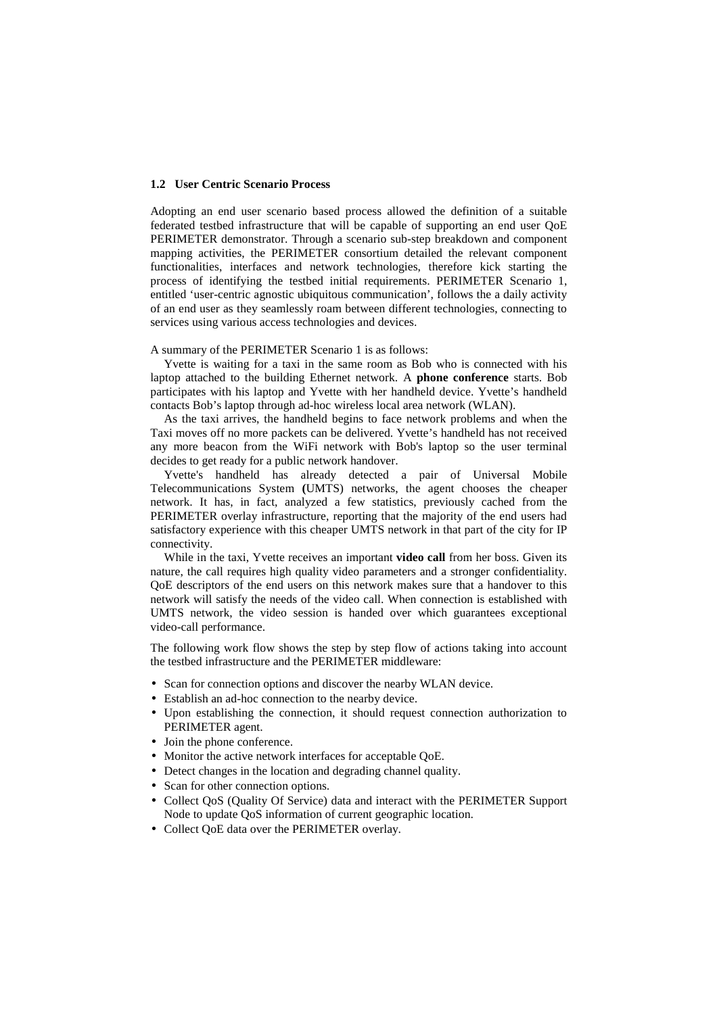#### **1.2 User Centric Scenario Process**

Adopting an end user scenario based process allowed the definition of a suitable federated testbed infrastructure that will be capable of supporting an end user QoE PERIMETER demonstrator. Through a scenario sub-step breakdown and component mapping activities, the PERIMETER consortium detailed the relevant component functionalities, interfaces and network technologies, therefore kick starting the process of identifying the testbed initial requirements. PERIMETER Scenario 1, entitled 'user-centric agnostic ubiquitous communication', follows the a daily activity of an end user as they seamlessly roam between different technologies, connecting to services using various access technologies and devices.

#### A summary of the PERIMETER Scenario 1 is as follows:

Yvette is waiting for a taxi in the same room as Bob who is connected with his laptop attached to the building Ethernet network. A **phone conference** starts. Bob participates with his laptop and Yvette with her handheld device. Yvette's handheld contacts Bob's laptop through ad-hoc wireless local area network (WLAN).

As the taxi arrives, the handheld begins to face network problems and when the Taxi moves off no more packets can be delivered. Yvette's handheld has not received any more beacon from the WiFi network with Bob's laptop so the user terminal decides to get ready for a public network handover.

Yvette's handheld has already detected a pair of Universal Mobile Telecommunications System **(**UMTS) networks, the agent chooses the cheaper network. It has, in fact, analyzed a few statistics, previously cached from the PERIMETER overlay infrastructure, reporting that the majority of the end users had satisfactory experience with this cheaper UMTS network in that part of the city for IP connectivity.

While in the taxi, Yvette receives an important **video call** from her boss. Given its nature, the call requires high quality video parameters and a stronger confidentiality. QoE descriptors of the end users on this network makes sure that a handover to this network will satisfy the needs of the video call. When connection is established with UMTS network, the video session is handed over which guarantees exceptional video-call performance.

The following work flow shows the step by step flow of actions taking into account the testbed infrastructure and the PERIMETER middleware:

- Scan for connection options and discover the nearby WLAN device.
- Establish an ad-hoc connection to the nearby device.
- Upon establishing the connection, it should request connection authorization to PERIMETER agent.
- Join the phone conference.
- Monitor the active network interfaces for acceptable QoE.
- Detect changes in the location and degrading channel quality.
- Scan for other connection options.
- Collect QoS (Quality Of Service) data and interact with the PERIMETER Support Node to update QoS information of current geographic location.
- Collect QoE data over the PERIMETER overlay.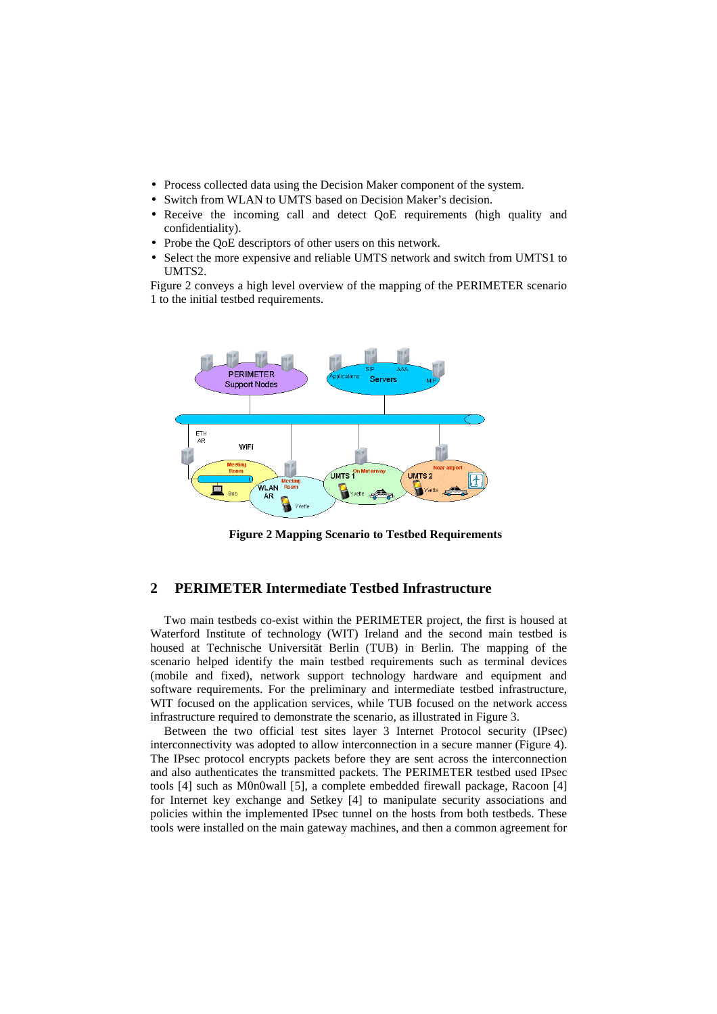- Process collected data using the Decision Maker component of the system.
- Switch from WLAN to UMTS based on Decision Maker's decision.
- Receive the incoming call and detect QoE requirements (high quality and confidentiality).
- Probe the QoE descriptors of other users on this network.
- Select the more expensive and reliable UMTS network and switch from UMTS1 to UMTS2.

Figure 2 conveys a high level overview of the mapping of the PERIMETER scenario 1 to the initial testbed requirements.



**Figure 2 Mapping Scenario to Testbed Requirements** 

### **2 PERIMETER Intermediate Testbed Infrastructure**

Two main testbeds co-exist within the PERIMETER project, the first is housed at Waterford Institute of technology (WIT) Ireland and the second main testbed is housed at Technische Universität Berlin (TUB) in Berlin. The mapping of the scenario helped identify the main testbed requirements such as terminal devices (mobile and fixed), network support technology hardware and equipment and software requirements. For the preliminary and intermediate testbed infrastructure, WIT focused on the application services, while TUB focused on the network access infrastructure required to demonstrate the scenario, as illustrated in Figure 3.

Between the two official test sites layer 3 Internet Protocol security (IPsec) interconnectivity was adopted to allow interconnection in a secure manner (Figure 4). The IPsec protocol encrypts packets before they are sent across the interconnection and also authenticates the transmitted packets. The PERIMETER testbed used IPsec tools [4] such as M0n0wall [5], a complete embedded firewall package, Racoon [4] for Internet key exchange and Setkey [4] to manipulate security associations and policies within the implemented IPsec tunnel on the hosts from both testbeds. These tools were installed on the main gateway machines, and then a common agreement for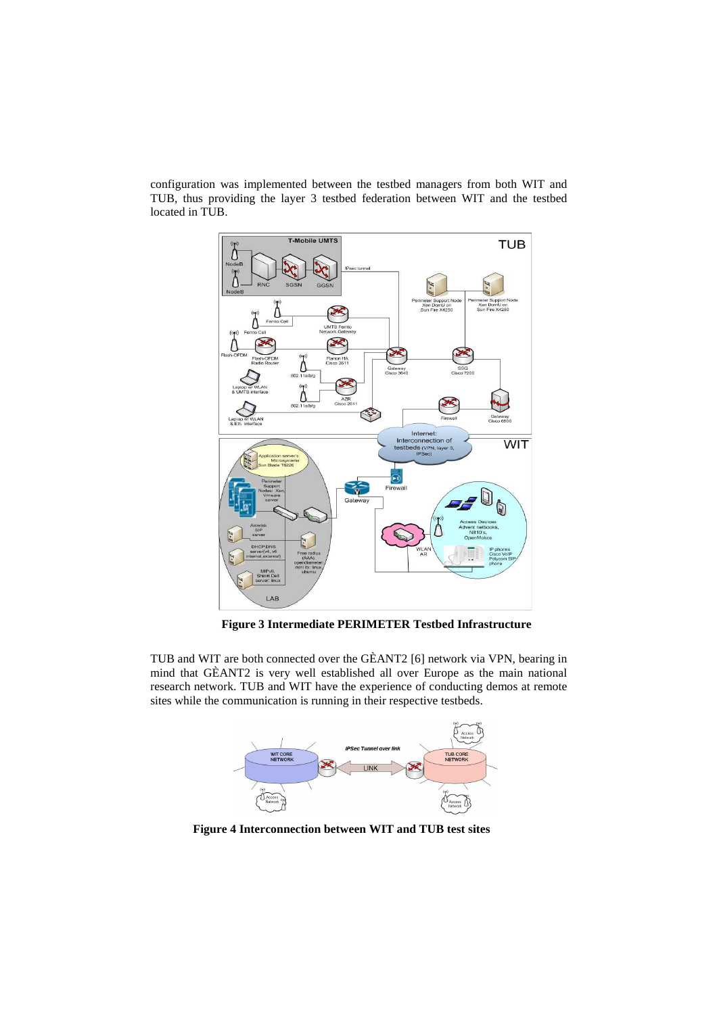configuration was implemented between the testbed managers from both WIT and TUB, thus providing the layer 3 testbed federation between WIT and the testbed located in TUB.



 **Figure 3 Intermediate PERIMETER Testbed Infrastructure** 

TUB and WIT are both connected over the GÈANT2 [6] network via VPN, bearing in mind that GÈANT2 is very well established all over Europe as the main national research network. TUB and WIT have the experience of conducting demos at remote sites while the communication is running in their respective testbeds.



**Figure 4 Interconnection between WIT and TUB test sites**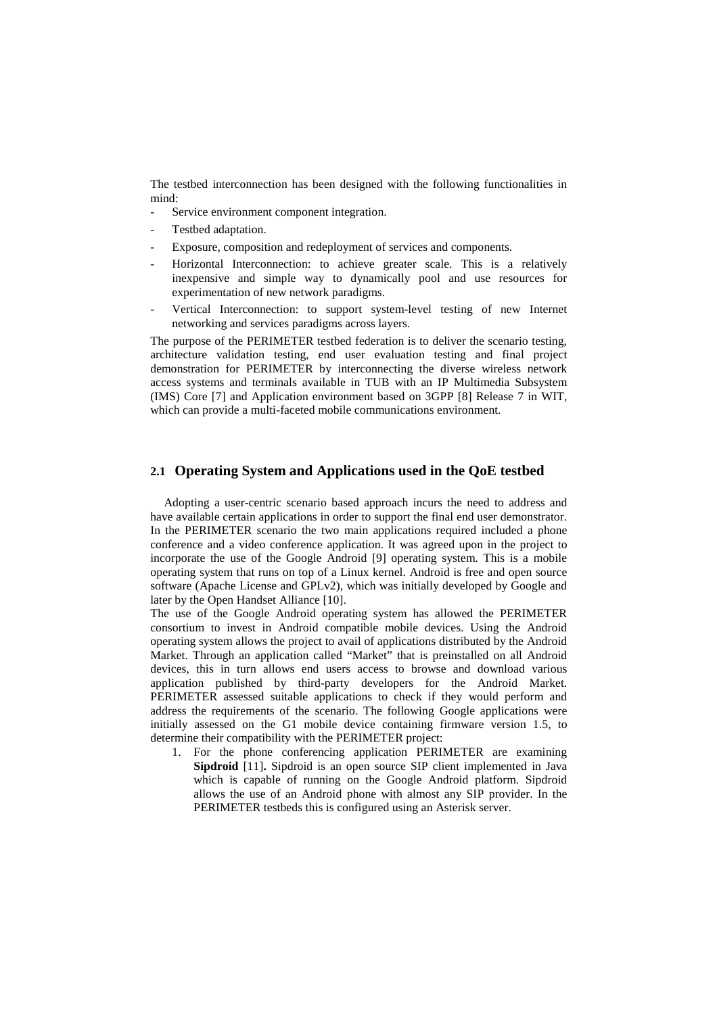The testbed interconnection has been designed with the following functionalities in mind:

- Service environment component integration.
- Testbed adaptation.
- Exposure, composition and redeployment of services and components.
- Horizontal Interconnection: to achieve greater scale. This is a relatively inexpensive and simple way to dynamically pool and use resources for experimentation of new network paradigms.
- Vertical Interconnection: to support system-level testing of new Internet networking and services paradigms across layers.

The purpose of the PERIMETER testbed federation is to deliver the scenario testing, architecture validation testing, end user evaluation testing and final project demonstration for PERIMETER by interconnecting the diverse wireless network access systems and terminals available in TUB with an IP Multimedia Subsystem (IMS) Core [7] and Application environment based on 3GPP [8] Release 7 in WIT, which can provide a multi-faceted mobile communications environment.

### **2.1 Operating System and Applications used in the QoE testbed**

Adopting a user-centric scenario based approach incurs the need to address and have available certain applications in order to support the final end user demonstrator. In the PERIMETER scenario the two main applications required included a phone conference and a video conference application. It was agreed upon in the project to incorporate the use of the Google Android [9] operating system. This is a mobile operating system that runs on top of a Linux kernel. Android is free and open source software (Apache License and GPLv2), which was initially developed by Google and later by the Open Handset Alliance [10].

The use of the Google Android operating system has allowed the PERIMETER consortium to invest in Android compatible mobile devices. Using the Android operating system allows the project to avail of applications distributed by the Android Market. Through an application called "Market" that is preinstalled on all Android devices, this in turn allows end users access to browse and download various application published by third-party developers for the Android Market. PERIMETER assessed suitable applications to check if they would perform and address the requirements of the scenario. The following Google applications were initially assessed on the G1 mobile device containing firmware version 1.5, to determine their compatibility with the PERIMETER project:

1. For the phone conferencing application PERIMETER are examining **Sipdroid** [11]**.** Sipdroid is an open source SIP client implemented in Java which is capable of running on the Google Android platform. Sipdroid allows the use of an Android phone with almost any SIP provider. In the PERIMETER testbeds this is configured using an Asterisk server.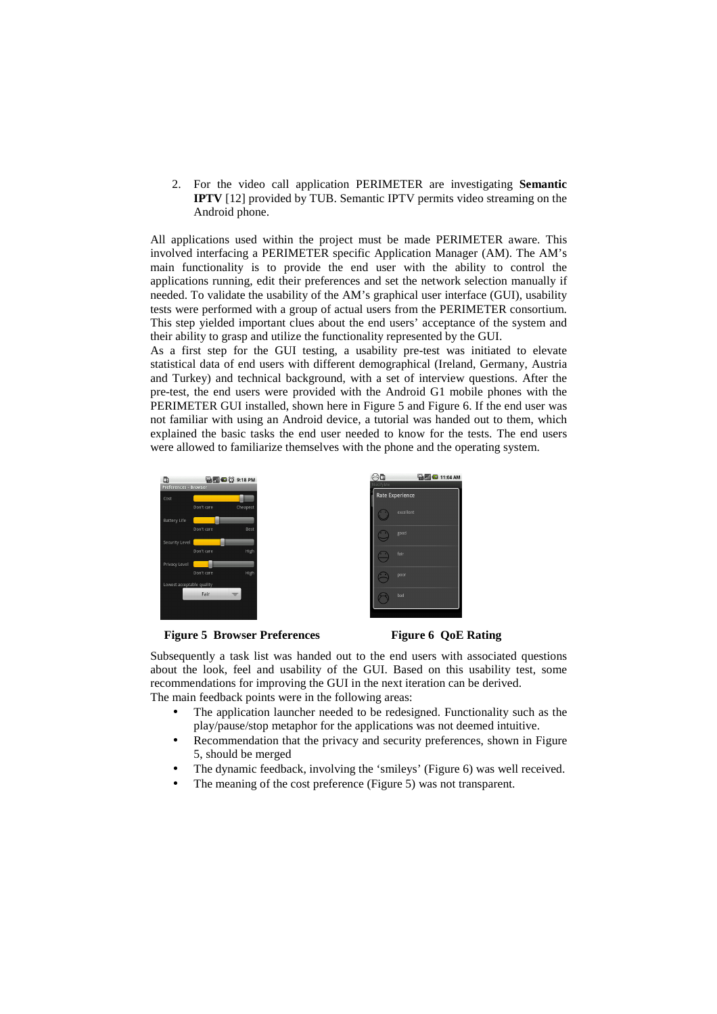2. For the video call application PERIMETER are investigating **Semantic IPTV** [12] provided by TUB. Semantic IPTV permits video streaming on the Android phone.

All applications used within the project must be made PERIMETER aware. This involved interfacing a PERIMETER specific Application Manager (AM). The AM's main functionality is to provide the end user with the ability to control the applications running, edit their preferences and set the network selection manually if needed. To validate the usability of the AM's graphical user interface (GUI), usability tests were performed with a group of actual users from the PERIMETER consortium. This step yielded important clues about the end users' acceptance of the system and their ability to grasp and utilize the functionality represented by the GUI.

As a first step for the GUI testing, a usability pre-test was initiated to elevate statistical data of end users with different demographical (Ireland, Germany, Austria and Turkey) and technical background, with a set of interview questions. After the pre-test, the end users were provided with the Android G1 mobile phones with the PERIMETER GUI installed, shown here in Figure 5 and Figure 6. If the end user was not familiar with using an Android device, a tutorial was handed out to them, which explained the basic tasks the end user needed to know for the tests. The end users were allowed to familiarize themselves with the phone and the operating system.



**Figure 5 Browser Preferences** Figure 6 QoE Rating



Subsequently a task list was handed out to the end users with associated questions about the look, feel and usability of the GUI. Based on this usability test, some recommendations for improving the GUI in the next iteration can be derived. The main feedback points were in the following areas:

- The application launcher needed to be redesigned. Functionality such as the play/pause/stop metaphor for the applications was not deemed intuitive.
- Recommendation that the privacy and security preferences, shown in Figure 5, should be merged
- The dynamic feedback, involving the 'smileys' (Figure 6) was well received.
- The meaning of the cost preference (Figure 5) was not transparent.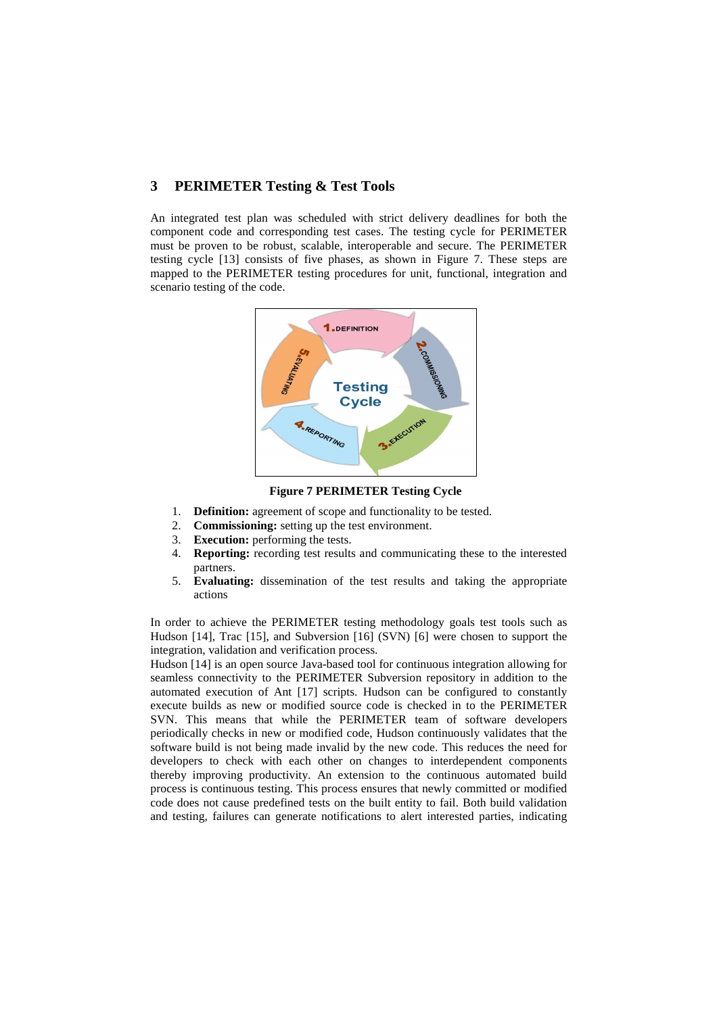### **3 PERIMETER Testing & Test Tools**

An integrated test plan was scheduled with strict delivery deadlines for both the component code and corresponding test cases. The testing cycle for PERIMETER must be proven to be robust, scalable, interoperable and secure. The PERIMETER testing cycle [13] consists of five phases, as shown in Figure 7. These steps are mapped to the PERIMETER testing procedures for unit, functional, integration and scenario testing of the code.



**Figure 7 PERIMETER Testing Cycle** 

- 1. **Definition:** agreement of scope and functionality to be tested.
- 2. **Commissioning:** setting up the test environment.
- 3. **Execution:** performing the tests.
- 4. **Reporting:** recording test results and communicating these to the interested partners.
- 5. **Evaluating:** dissemination of the test results and taking the appropriate actions

In order to achieve the PERIMETER testing methodology goals test tools such as Hudson [14], Trac [15], and Subversion [16] (SVN) [6] were chosen to support the integration, validation and verification process.

Hudson [14] is an open source Java-based tool for continuous integration allowing for seamless connectivity to the PERIMETER Subversion repository in addition to the automated execution of Ant [17] scripts. Hudson can be configured to constantly execute builds as new or modified source code is checked in to the PERIMETER SVN. This means that while the PERIMETER team of software developers periodically checks in new or modified code, Hudson continuously validates that the software build is not being made invalid by the new code. This reduces the need for developers to check with each other on changes to interdependent components thereby improving productivity. An extension to the continuous automated build process is continuous testing. This process ensures that newly committed or modified code does not cause predefined tests on the built entity to fail. Both build validation and testing, failures can generate notifications to alert interested parties, indicating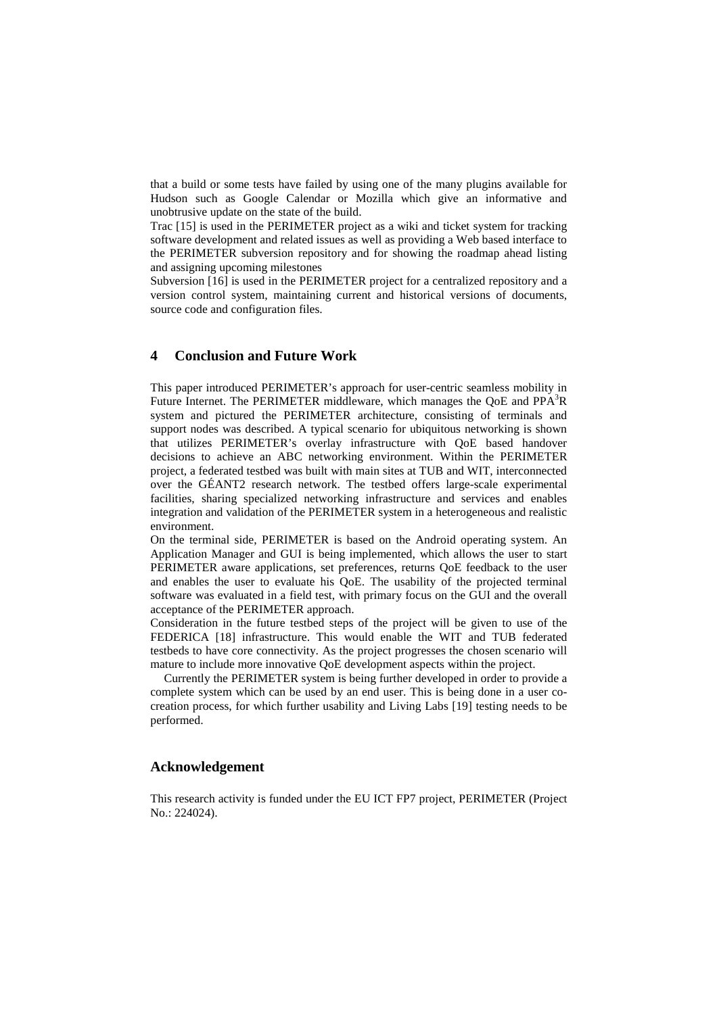that a build or some tests have failed by using one of the many plugins available for Hudson such as Google Calendar or Mozilla which give an informative and unobtrusive update on the state of the build.

Trac [15] is used in the PERIMETER project as a wiki and ticket system for tracking software development and related issues as well as providing a Web based interface to the PERIMETER subversion repository and for showing the roadmap ahead listing and assigning upcoming milestones

Subversion [16] is used in the PERIMETER project for a centralized repository and a version control system, maintaining current and historical versions of documents, source code and configuration files.

## **4 Conclusion and Future Work**

This paper introduced PERIMETER's approach for user-centric seamless mobility in Future Internet. The PERIMETER middleware, which manages the QoE and PPA<sup>3</sup>R system and pictured the PERIMETER architecture, consisting of terminals and support nodes was described. A typical scenario for ubiquitous networking is shown that utilizes PERIMETER's overlay infrastructure with QoE based handover decisions to achieve an ABC networking environment. Within the PERIMETER project, a federated testbed was built with main sites at TUB and WIT, interconnected over the GÉANT2 research network. The testbed offers large-scale experimental facilities, sharing specialized networking infrastructure and services and enables integration and validation of the PERIMETER system in a heterogeneous and realistic environment.

On the terminal side, PERIMETER is based on the Android operating system. An Application Manager and GUI is being implemented, which allows the user to start PERIMETER aware applications, set preferences, returns QoE feedback to the user and enables the user to evaluate his QoE. The usability of the projected terminal software was evaluated in a field test, with primary focus on the GUI and the overall acceptance of the PERIMETER approach.

Consideration in the future testbed steps of the project will be given to use of the FEDERICA [18] infrastructure. This would enable the WIT and TUB federated testbeds to have core connectivity. As the project progresses the chosen scenario will mature to include more innovative QoE development aspects within the project.

Currently the PERIMETER system is being further developed in order to provide a complete system which can be used by an end user. This is being done in a user cocreation process, for which further usability and Living Labs [19] testing needs to be performed.

#### **Acknowledgement**

This research activity is funded under the EU ICT FP7 project, PERIMETER (Project No.: 224024).